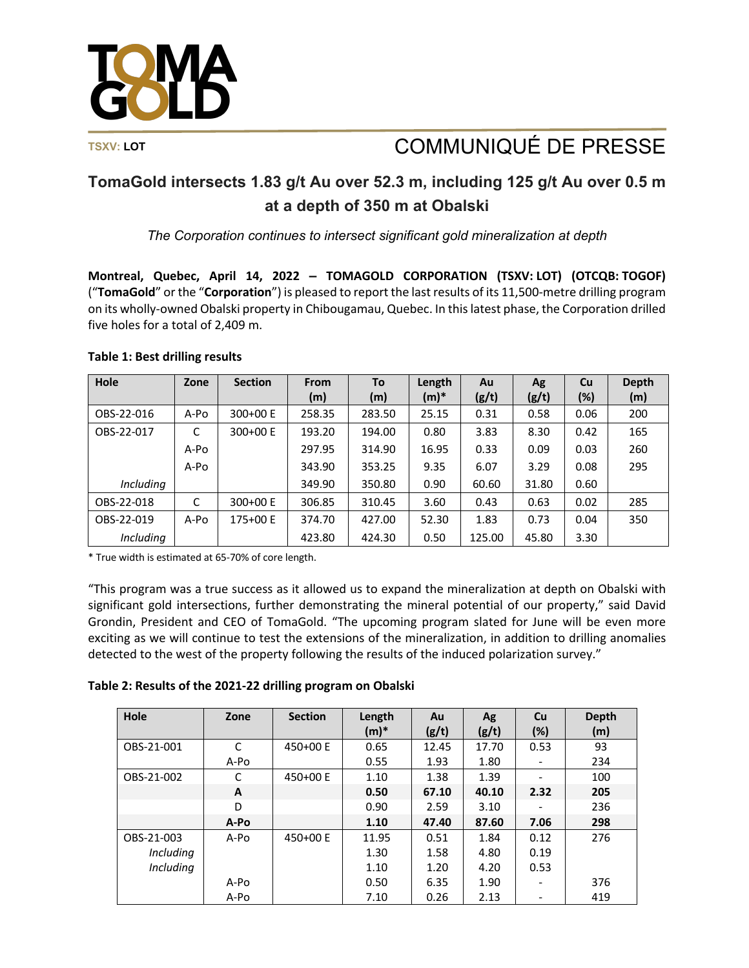

# TSXV: LOT **TSXV:** LOT **COMMUNIQUÉ DE PRESSE**

## **TomaGold intersects 1.83 g/t Au over 52.3 m, including 125 g/t Au over 0.5 m at a depth of 350 m at Obalski**

*The Corporation continues to intersect significant gold mineralization at depth*

**Montreal, Quebec, April 14, 2022 ‒ TOMAGOLD CORPORATION (TSXV: LOT) (OTCQB: TOGOF)** ("**TomaGold**" or the "**Corporation**") is pleased to report the last results of its 11,500-metre drilling program on its wholly-owned Obalski property in Chibougamau, Quebec. In this latest phase, the Corporation drilled five holes for a total of 2,409 m.

### **Table 1: Best drilling results**

| Hole             | Zone | <b>Section</b> | <b>From</b> | To     | Length  | Au     | Ag    | <b>Cu</b> | <b>Depth</b> |
|------------------|------|----------------|-------------|--------|---------|--------|-------|-----------|--------------|
|                  |      |                | (m)         | (m)    | $(m)^*$ | (g/t)  | (g/t) | (%)       | (m)          |
| OBS-22-016       | A-Po | 300+00 E       | 258.35      | 283.50 | 25.15   | 0.31   | 0.58  | 0.06      | 200          |
| OBS-22-017       | C    | 300+00 E       | 193.20      | 194.00 | 0.80    | 3.83   | 8.30  | 0.42      | 165          |
|                  | A-Po |                | 297.95      | 314.90 | 16.95   | 0.33   | 0.09  | 0.03      | 260          |
|                  | A-Po |                | 343.90      | 353.25 | 9.35    | 6.07   | 3.29  | 0.08      | 295          |
| <i>Including</i> |      |                | 349.90      | 350.80 | 0.90    | 60.60  | 31.80 | 0.60      |              |
| OBS-22-018       | C    | 300+00 E       | 306.85      | 310.45 | 3.60    | 0.43   | 0.63  | 0.02      | 285          |
| OBS-22-019       | A-Po | 175+00 E       | 374.70      | 427.00 | 52.30   | 1.83   | 0.73  | 0.04      | 350          |
| <i>Including</i> |      |                | 423.80      | 424.30 | 0.50    | 125.00 | 45.80 | 3.30      |              |

\* True width is estimated at 65-70% of core length.

"This program was a true success as it allowed us to expand the mineralization at depth on Obalski with significant gold intersections, further demonstrating the mineral potential of our property," said David Grondin, President and CEO of TomaGold. "The upcoming program slated for June will be even more exciting as we will continue to test the extensions of the mineralization, in addition to drilling anomalies detected to the west of the property following the results of the induced polarization survey."

| Table 2: Results of the 2021-22 drilling program on Obalski |  |
|-------------------------------------------------------------|--|
|-------------------------------------------------------------|--|

| Hole             | Zone | <b>Section</b> | Length<br>$(m)^*$ | Au<br>(g/t) | Ag<br>(g/t) | <b>Cu</b><br>$(\%)$ | <b>Depth</b><br>(m) |
|------------------|------|----------------|-------------------|-------------|-------------|---------------------|---------------------|
| OBS-21-001       | C    | 450+00 E       | 0.65              | 12.45       | 17.70       | 0.53                | 93                  |
|                  | A-Po |                | 0.55              | 1.93        | 1.80        |                     | 234                 |
| OBS-21-002       | C    | 450+00 E       | 1.10              | 1.38        | 1.39        |                     | 100                 |
|                  | A    |                | 0.50              | 67.10       | 40.10       | 2.32                | 205                 |
|                  | D    |                | 0.90              | 2.59        | 3.10        |                     | 236                 |
|                  | A-Po |                | 1.10              | 47.40       | 87.60       | 7.06                | 298                 |
| OBS-21-003       | A-Po | 450+00 E       | 11.95             | 0.51        | 1.84        | 0.12                | 276                 |
| Including        |      |                | 1.30              | 1.58        | 4.80        | 0.19                |                     |
| <b>Including</b> |      |                | 1.10              | 1.20        | 4.20        | 0.53                |                     |
|                  | A-Po |                | 0.50              | 6.35        | 1.90        | -                   | 376                 |
|                  | A-Po |                | 7.10              | 0.26        | 2.13        |                     | 419                 |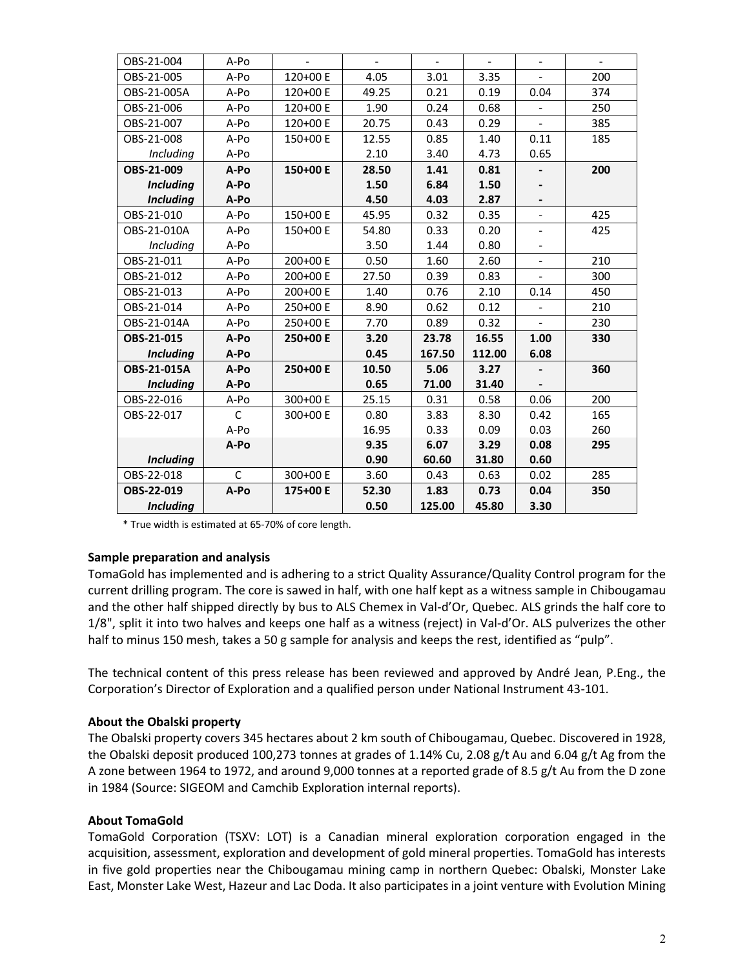| OBS-21-004       | A-Po         |          |       | $\overline{a}$ | $\overline{a}$ |                          |     |
|------------------|--------------|----------|-------|----------------|----------------|--------------------------|-----|
| OBS-21-005       | A-Po         | 120+00 E | 4.05  | 3.01           | 3.35           | $\overline{\phantom{0}}$ | 200 |
| OBS-21-005A      | A-Po         | 120+00 E | 49.25 | 0.21           | 0.19           | 0.04                     | 374 |
| OBS-21-006       | A-Po         | 120+00 E | 1.90  | 0.24           | 0.68           | $\overline{\phantom{0}}$ | 250 |
| OBS-21-007       | A-Po         | 120+00 E | 20.75 | 0.43           | 0.29           | ÷.                       | 385 |
| OBS-21-008       | A-Po         | 150+00 E | 12.55 | 0.85           | 1.40           | 0.11                     | 185 |
| Including        | A-Po         |          | 2.10  | 3.40           | 4.73           | 0.65                     |     |
| OBS-21-009       | A-Po         | 150+00 E | 28.50 | 1.41           | 0.81           |                          | 200 |
| <b>Including</b> | A-Po         |          | 1.50  | 6.84           | 1.50           |                          |     |
| <b>Including</b> | A-Po         |          | 4.50  | 4.03           | 2.87           |                          |     |
| OBS-21-010       | A-Po         | 150+00 E | 45.95 | 0.32           | 0.35           | $\blacksquare$           | 425 |
| OBS-21-010A      | A-Po         | 150+00 E | 54.80 | 0.33           | 0.20           | $\overline{a}$           | 425 |
| Including        | A-Po         |          | 3.50  | 1.44           | 0.80           | $\overline{\phantom{m}}$ |     |
| OBS-21-011       | A-Po         | 200+00 E | 0.50  | 1.60           | 2.60           | $\overline{\phantom{m}}$ | 210 |
| OBS-21-012       | A-Po         | 200+00 E | 27.50 | 0.39           | 0.83           | $\overline{a}$           | 300 |
| OBS-21-013       | A-Po         | 200+00 E | 1.40  | 0.76           | 2.10           | 0.14                     | 450 |
| OBS-21-014       | A-Po         | 250+00 E | 8.90  | 0.62           | 0.12           |                          | 210 |
| OBS-21-014A      | A-Po         | 250+00 E | 7.70  | 0.89           | 0.32           |                          | 230 |
| OBS-21-015       | A-Po         | 250+00 E | 3.20  | 23.78          | 16.55          | 1.00                     | 330 |
| <b>Including</b> | A-Po         |          | 0.45  | 167.50         | 112.00         | 6.08                     |     |
| OBS-21-015A      | A-Po         | 250+00 E | 10.50 | 5.06           | 3.27           |                          | 360 |
| <b>Including</b> | A-Po         |          | 0.65  | 71.00          | 31.40          |                          |     |
| OBS-22-016       | A-Po         | 300+00 E | 25.15 | 0.31           | 0.58           | 0.06                     | 200 |
| OBS-22-017       | $\mathsf{C}$ | 300+00 E | 0.80  | 3.83           | 8.30           | 0.42                     | 165 |
|                  | A-Po         |          | 16.95 | 0.33           | 0.09           | 0.03                     | 260 |
|                  | A-Po         |          | 9.35  | 6.07           | 3.29           | 0.08                     | 295 |
| <b>Including</b> |              |          | 0.90  | 60.60          | 31.80          | 0.60                     |     |
| OBS-22-018       | $\mathsf{C}$ | 300+00 E | 3.60  | 0.43           | 0.63           | 0.02                     | 285 |
| OBS-22-019       | A-Po         | 175+00 E | 52.30 | 1.83           | 0.73           | 0.04                     | 350 |
| <b>Including</b> |              |          | 0.50  | 125.00         | 45.80          | 3.30                     |     |

\* True width is estimated at 65-70% of core length.

#### **Sample preparation and analysis**

TomaGold has implemented and is adhering to a strict Quality Assurance/Quality Control program for the current drilling program. The core is sawed in half, with one half kept as a witness sample in Chibougamau and the other half shipped directly by bus to ALS Chemex in Val-d'Or, Quebec. ALS grinds the half core to 1/8", split it into two halves and keeps one half as a witness (reject) in Val-d'Or. ALS pulverizes the other half to minus 150 mesh, takes a 50 g sample for analysis and keeps the rest, identified as "pulp".

The technical content of this press release has been reviewed and approved by André Jean, P.Eng., the Corporation's Director of Exploration and a qualified person under National Instrument 43-101.

#### **About the Obalski property**

The Obalski property covers 345 hectares about 2 km south of Chibougamau, Quebec. Discovered in 1928, the Obalski deposit produced 100,273 tonnes at grades of 1.14% Cu, 2.08 g/t Au and 6.04 g/t Ag from the A zone between 1964 to 1972, and around 9,000 tonnes at a reported grade of 8.5 g/t Au from the D zone in 1984 (Source: SIGEOM and Camchib Exploration internal reports).

#### **About TomaGold**

TomaGold Corporation (TSXV: LOT) is a Canadian mineral exploration corporation engaged in the acquisition, assessment, exploration and development of gold mineral properties. TomaGold has interests in five gold properties near the Chibougamau mining camp in northern Quebec: Obalski, Monster Lake East, Monster Lake West, Hazeur and Lac Doda. It also participates in a joint venture with Evolution Mining